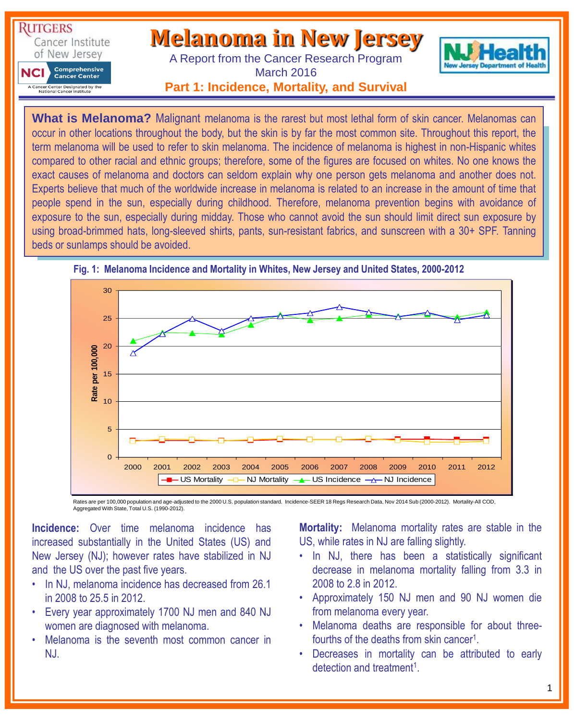

**What is Melanoma?** Malignant melanoma is the rarest but most lethal form of skin cancer. Melanomas can occur in other locations throughout the body, but the skin is by far the most common site. Throughout this report, the term melanoma will be used to refer to skin melanoma. The incidence of melanoma is highest in non-Hispanic whites compared to other racial and ethnic groups; therefore, some of the figures are focused on whites. No one knows the exact causes of melanoma and doctors can seldom explain why one person gets melanoma and another does not. Experts believe that much of the worldwide increase in melanoma is related to an increase in the amount of time that people spend in the sun, especially during childhood. Therefore, melanoma prevention begins with avoidance of exposure to the sun, especially during midday. Those who cannot avoid the sun should limit direct sun exposure by using broad-brimmed hats, long-sleeved shirts, pants, sun-resistant fabrics, and sunscreen with a 30+ SPF. Tanning beds or sunlamps should be avoided.



### **Fig. 1: Melanoma Incidence and Mortality in Whites, New Jersey and United States, 2000-2012**

Rates are per 100,000 population and age-adjusted to the 2000 U.S. population standard. Incidence-SEER 18 Regs Research Data, Nov 2014 Sub (2000-2012). Mortality-All COD, Aggregated With State, Total U.S. (1990-2012).

**Incidence:** Over time melanoma incidence has increased substantially in the United States (US) and New Jersey (NJ); however rates have stabilized in NJ and the US over the past five years.

- In NJ, melanoma incidence has decreased from 26.1 in 2008 to 25.5 in 2012.
- Every year approximately 1700 NJ men and 840 NJ women are diagnosed with melanoma.
- Melanoma is the seventh most common cancer in NJ.

**Mortality:** Melanoma mortality rates are stable in the US, while rates in NJ are falling slightly.

- In NJ, there has been a statistically significant decrease in melanoma mortality falling from 3.3 in 2008 to 2.8 in 2012.
- Approximately 150 NJ men and 90 NJ women die from melanoma every year.
- Melanoma deaths are responsible for about threefourths of the deaths from skin cancer<sup>1</sup>.
- Decreases in mortality can be attributed to early detection and treatment<sup>1</sup>.

1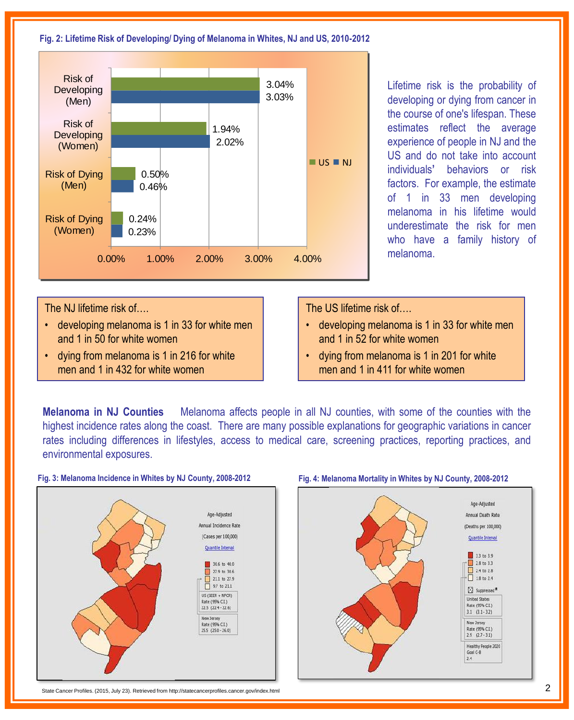#### **Fig. 2: Lifetime Risk of Developing/ Dying of Melanoma in Whites, NJ and US, 2010-2012**



Lifetime risk is the probability of developing or dying from cancer in the course of one's lifespan. These estimates reflect the average experience of people in NJ and the US and do not take into account individuals**'** behaviors or risk factors. For example, the estimate of 1 in 33 men developing melanoma in his lifetime would underestimate the risk for men who have a family history of melanoma.

The NJ lifetime risk of….

- developing melanoma is 1 in 33 for white men and 1 in 50 for white women
- dying from melanoma is 1 in 216 for white men and 1 in 432 for white women

The US lifetime risk of….

- developing melanoma is 1 in 33 for white men and 1 in 52 for white women
- dying from melanoma is 1 in 201 for white men and 1 in 411 for white women

**Melanoma in NJ Counties** Melanoma affects people in all NJ counties, with some of the counties with the highest incidence rates along the coast. There are many possible explanations for geographic variations in cancer rates including differences in lifestyles, access to medical care, screening practices, reporting practices, and environmental exposures.

#### **Fig. 3: Melanoma Incidence in Whites by NJ County, 2008-2012**



State Cancer Profiles. (2015, July 23). Retrieved from http://statecancerprofiles.cancer.gov/index.html 2



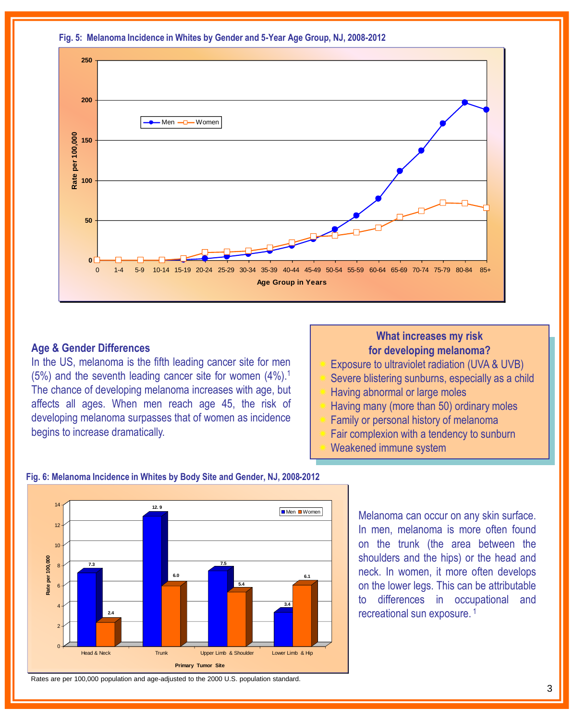**Fig. 5: Melanoma Incidence in Whites by Gender and 5-Year Age Group, NJ, 2008-2012**



### **Age & Gender Differences**

In the US, melanoma is the fifth leading cancer site for men (5%) and the seventh leading cancer site for women (4%). 1 The chance of developing melanoma increases with age, but affects all ages. When men reach age 45, the risk of developing melanoma surpasses that of women as incidence begins to increase dramatically.

# **What increases my risk for developing melanoma?**

- Exposure to ultraviolet radiation (UVA & UVB)
- Severe blistering sunburns, especially as a child
- Having abnormal or large moles
- Having many (more than 50) ordinary moles
- Family or personal history of melanoma
- Fair complexion with a tendency to sunburn
	- Weakened immune system



### **Fig. 6: Melanoma Incidence in Whites by Body Site and Gender, NJ, 2008-2012**

Melanoma can occur on any skin surface. In men, melanoma is more often found on the trunk (the area between the shoulders and the hips) or the head and neck. In women, it more often develops on the lower legs. This can be attributable to differences in occupational and recreational sun exposure. 1

Rates are per 100,000 population and age-adjusted to the 2000 U.S. population standard.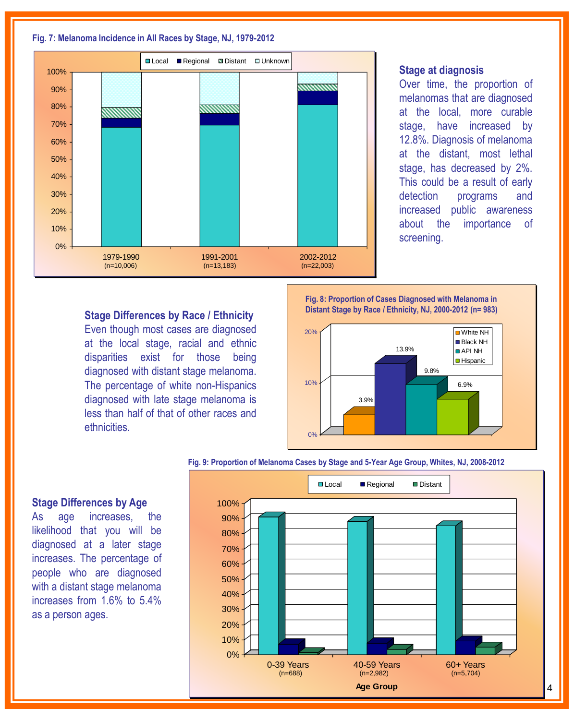#### **Fig. 7: Melanoma Incidence in All Races by Stage, NJ, 1979-2012**



#### **Stage at diagnosis**

Over time, the proportion of melanomas that are diagnosed at the local, more curable stage, have increased by 12.8%. Diagnosis of melanoma at the distant, most lethal stage, has decreased by 2%. This could be a result of early detection programs and increased public awareness about the importance of screening.

# **Stage Differences by Race / Ethnicity**

Even though most cases are diagnosed at the local stage, racial and ethnic disparities exist for those being diagnosed with distant stage melanoma. The percentage of white non-Hispanics diagnosed with late stage melanoma is less than half of that of other races and ethnicities.

**Fig. 8: Proportion of Cases Diagnosed with Melanoma in Distant Stage by Race / Ethnicity, NJ, 2000-2012 (n= 983)**



#### **Fig. 9: Proportion of Melanoma Cases by Stage and 5-Year Age Group, Whites, NJ, 2008-2012**



### **Stage Differences by Age**

As age increases, the likelihood that you will be diagnosed at a later stage increases. The percentage of people who are diagnosed with a distant stage melanoma increases from 1.6% to 5.4% as a person ages.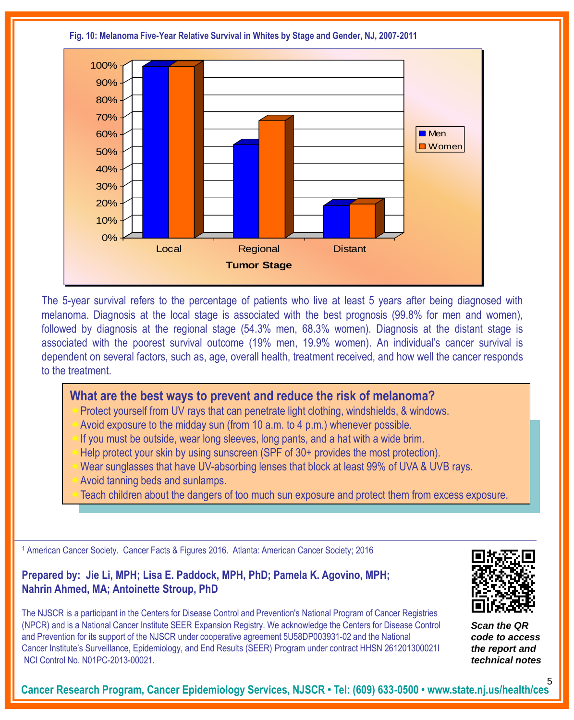**Fig. 10: Melanoma Five-Year Relative Survival in Whites by Stage and Gender, NJ, 2007-2011**



The 5-year survival refers to the percentage of patients who live at least 5 years after being diagnosed with melanoma. Diagnosis at the local stage is associated with the best prognosis (99.8% for men and women), followed by diagnosis at the regional stage (54.3% men, 68.3% women). Diagnosis at the distant stage is associated with the poorest survival outcome (19% men, 19.9% women). An individual's cancer survival is dependent on several factors, such as, age, overall health, treatment received, and how well the cancer responds to the treatment.

# **What are the best ways to prevent and reduce the risk of melanoma?**

- Protect yourself from UV rays that can penetrate light clothing, windshields, & windows.
- Avoid exposure to the midday sun (from 10 a.m. to 4 p.m.) whenever possible.
- If you must be outside, wear long sleeves, long pants, and a hat with a wide brim.
- Help protect your skin by using sunscreen (SPF of 30+ provides the most protection).
- Wear sunglasses that have UV-absorbing lenses that block at least 99% of UVA & UVB rays.
- Avoid tanning beds and sunlamps.
- Teach children about the dangers of too much sun exposure and protect them from excess exposure.

<sup>1</sup> American Cancer Society. Cancer Facts & Figures 2016. Atlanta: American Cancer Society; 2016

## **Prepared by: Jie Li, MPH; Lisa E. Paddock, MPH, PhD; Pamela K. Agovino, MPH; Nahrin Ahmed, MA; Antoinette Stroup, PhD**

The NJSCR is a participant in the Centers for Disease Control and Prevention's National Program of Cancer Registries (NPCR) and is a National Cancer Institute SEER Expansion Registry. We acknowledge the Centers for Disease Control and Prevention for its support of the NJSCR under cooperative agreement 5U58DP003931-02 and the National Cancer Institute's Surveillance, Epidemiology, and End Results (SEER) Program under contract HHSN 261201300021I NCI Control No. N01PC-2013-00021.



*Scan the QR code to access the report and technical notes*

**Cancer Research Program, Cancer Epidemiology Services, NJSCR • Tel: (609) 633-0500 • www.state.nj.us/health/ces** 5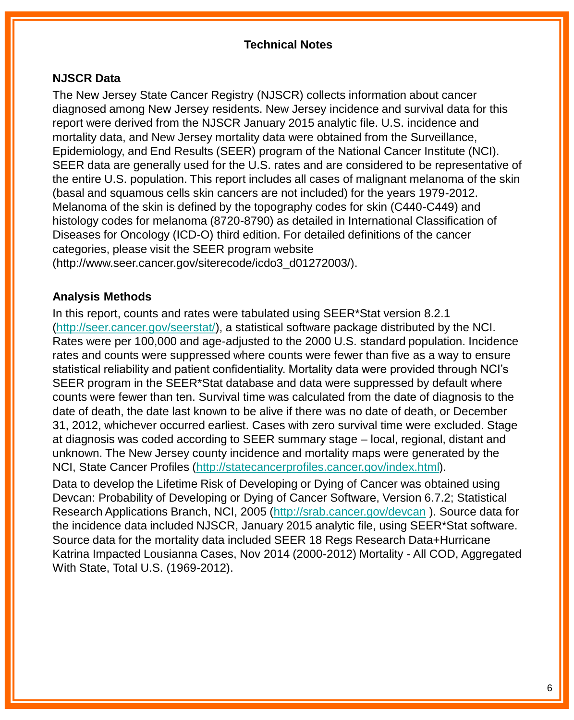## **Technical Notes**

### **NJSCR Data**

The New Jersey State Cancer Registry (NJSCR) collects information about cancer diagnosed among New Jersey residents. New Jersey incidence and survival data for this report were derived from the NJSCR January 2015 analytic file. U.S. incidence and mortality data, and New Jersey mortality data were obtained from the Surveillance, Epidemiology, and End Results (SEER) program of the National Cancer Institute (NCI). SEER data are generally used for the U.S. rates and are considered to be representative of the entire U.S. population. This report includes all cases of malignant melanoma of the skin (basal and squamous cells skin cancers are not included) for the years 1979-2012. Melanoma of the skin is defined by the topography codes for skin (C440-C449) and histology codes for melanoma (8720-8790) as detailed in International Classification of Diseases for Oncology (ICD-O) third edition. For detailed definitions of the cancer categories, please visit the SEER program website (http://www.seer.cancer.gov/siterecode/icdo3\_d01272003/).

# **Analysis Methods**

In this report, counts and rates were tabulated using SEER\*Stat version 8.2.1 [\(http://seer.cancer.gov/seerstat/\)](http://seer.cancer.gov/seerstat/), a statistical software package distributed by the NCI. Rates were per 100,000 and age-adjusted to the 2000 U.S. standard population. Incidence rates and counts were suppressed where counts were fewer than five as a way to ensure statistical reliability and patient confidentiality. Mortality data were provided through NCI's SEER program in the SEER\*Stat database and data were suppressed by default where counts were fewer than ten. Survival time was calculated from the date of diagnosis to the date of death, the date last known to be alive if there was no date of death, or December 31, 2012, whichever occurred earliest. Cases with zero survival time were excluded. Stage at diagnosis was coded according to SEER summary stage – local, regional, distant and unknown. The New Jersey county incidence and mortality maps were generated by the NCI, State Cancer Profiles (<http://statecancerprofiles.cancer.gov/index.html>).

Data to develop the Lifetime Risk of Developing or Dying of Cancer was obtained using Devcan: Probability of Developing or Dying of Cancer Software, Version 6.7.2; Statistical Research Applications Branch, NCI, 2005 [\(http://srab.cancer.gov/devcan](http://srab.cancer.gov/devcan) ). Source data for the incidence data included NJSCR, January 2015 analytic file, using SEER\*Stat software. Source data for the mortality data included SEER 18 Regs Research Data+Hurricane Katrina Impacted Lousianna Cases, Nov 2014 (2000-2012) Mortality - All COD, Aggregated With State, Total U.S. (1969-2012).